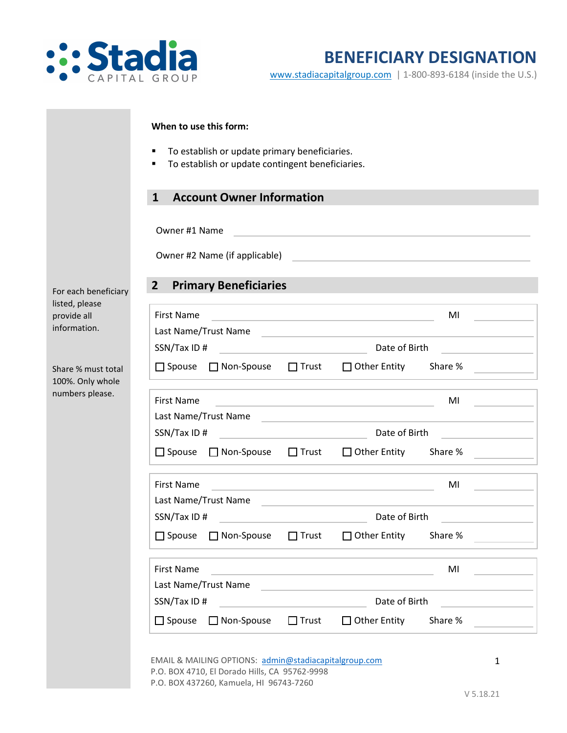

[www.stadiacapitalgroup.com](http://www.stadiacapitalgroup.com/) | 1-800-893-6184 (inside the U.S.)

| <b>Account Owner Information</b><br>$\mathbf{1}$     |                                                               |                                                                                                                                                                                                                                      |                                                                                                                      |  |  |
|------------------------------------------------------|---------------------------------------------------------------|--------------------------------------------------------------------------------------------------------------------------------------------------------------------------------------------------------------------------------------|----------------------------------------------------------------------------------------------------------------------|--|--|
|                                                      |                                                               |                                                                                                                                                                                                                                      |                                                                                                                      |  |  |
| Owner #1 Name                                        |                                                               |                                                                                                                                                                                                                                      |                                                                                                                      |  |  |
|                                                      |                                                               |                                                                                                                                                                                                                                      |                                                                                                                      |  |  |
|                                                      |                                                               |                                                                                                                                                                                                                                      |                                                                                                                      |  |  |
| <b>Primary Beneficiaries</b><br>2 <sup>1</sup>       |                                                               | <u> 1989 - Johann Barbara, martxa amerikan personal (</u>                                                                                                                                                                            |                                                                                                                      |  |  |
| <b>First Name</b>                                    |                                                               | <u> 1980 - An Dùbhlachd ann an Dùbhlachd ann an Dùbhlachd ann an Dùbhlachd ann an Dùbhlachd ann an Dùbhlachd ann </u>                                                                                                                | MI                                                                                                                   |  |  |
| Last Name/Trust Name                                 |                                                               |                                                                                                                                                                                                                                      |                                                                                                                      |  |  |
|                                                      |                                                               |                                                                                                                                                                                                                                      |                                                                                                                      |  |  |
| □ Spouse □ Non-Spouse □ Trust □ Other Entity Share % |                                                               |                                                                                                                                                                                                                                      |                                                                                                                      |  |  |
| <b>First Name</b>                                    |                                                               | <u>MICHAEL AND CONTRACT CONTRACT OF THE STATE OF THE STATE OF THE STATE OF THE STATE OF THE STATE OF THE STATE OF THE STATE OF THE STATE OF THE STATE OF THE STATE OF THE STATE OF THE STATE OF THE STATE OF THE STATE OF THE ST</u> |                                                                                                                      |  |  |
| Last Name/Trust Name                                 |                                                               |                                                                                                                                                                                                                                      |                                                                                                                      |  |  |
| SSN/Tax ID#                                          | Date of Birth                                                 |                                                                                                                                                                                                                                      |                                                                                                                      |  |  |
| □ Spouse □ Non-Spouse □ Trust □ Other Entity Share % |                                                               |                                                                                                                                                                                                                                      | <u> 1990 - Jan Jawa Barat, prima prima prima prima prima prima prima prima prima prima prima prima prima prima p</u> |  |  |
| <b>First Name</b>                                    |                                                               | <u> 1989 - Andrea Brand, Amerikaansk politiker († 1908)</u>                                                                                                                                                                          | MI                                                                                                                   |  |  |
| Last Name/Trust Name                                 |                                                               | the control of the control of the control of the control of the control of the control of                                                                                                                                            |                                                                                                                      |  |  |
| SSN/Tax ID#                                          | Date of Birth                                                 |                                                                                                                                                                                                                                      |                                                                                                                      |  |  |
| $\Box$ Spouse $\Box$ Non-Spouse                      |                                                               | □ Trust □ Other Entity Share %                                                                                                                                                                                                       |                                                                                                                      |  |  |
| <b>First Name</b>                                    |                                                               | the control of the control of the control of the control of the control of                                                                                                                                                           | MI                                                                                                                   |  |  |
| Last Name/Trust Name                                 |                                                               | <u> 1980 - Johann Barbara, martxa alemaniar a</u>                                                                                                                                                                                    |                                                                                                                      |  |  |
| SSN/Tax ID#                                          | Date of Birth<br>the control of the control of the control of |                                                                                                                                                                                                                                      |                                                                                                                      |  |  |
| $\Box$ Spouse                                        | $\Box$ Trust<br>□ Non-Spouse                                  | $\Box$ Other Entity                                                                                                                                                                                                                  | Share %                                                                                                              |  |  |

EMAIL & MAILING OPTIONS: [admin@stadiacapitalgroup.com](mailto:admin@stadiacapitalgroup.com) P.O. BOX 4710, El Dorado Hills, CA 95762-9998 P.O. BOX 437260, Kamuela, HI 96743-7260

1

For each bei listed, pleas provide all information.

Share % must 100%. Only numbers ple